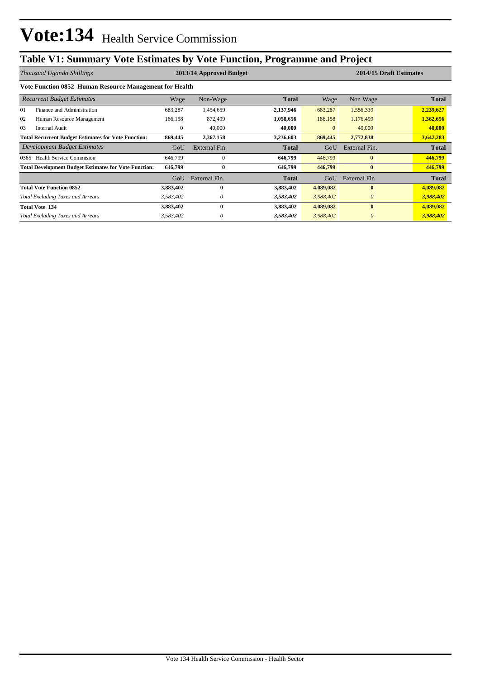## **Table V1: Summary Vote Estimates by Vote Function, Programme and Project**

| Thousand Uganda Shillings                                    |              | 2013/14 Approved Budget | 2014/15 Draft Estimates |                |                     |           |
|--------------------------------------------------------------|--------------|-------------------------|-------------------------|----------------|---------------------|-----------|
| Vote Function 0852 Human Resource Management for Health      |              |                         |                         |                |                     |           |
| <b>Recurrent Budget Estimates</b>                            | Wage         | Non-Wage                | <b>Total</b>            | Wage           | Non Wage            | Total     |
| 01<br>Finance and Administration                             | 683,287      | 1,454,659               | 2,137,946               | 683,287        | 1,556,339           | 2,239,627 |
| 02<br>Human Resource Management                              | 186,158      | 872,499                 | 1,058,656               | 186,158        | 1,176,499           | 1,362,656 |
| 03<br><b>Internal Audit</b>                                  | $\mathbf{0}$ | 40,000                  | 40,000                  | $\overline{0}$ | 40,000              | 40,000    |
| <b>Total Recurrent Budget Estimates for Vote Function:</b>   | 869,445      | 2,367,158               | 3,236,603               | 869,445        | 2,772,838           | 3,642,283 |
| Development Budget Estimates                                 | GoU          | External Fin.           | <b>Total</b>            | GoU            | External Fin.       | Total     |
| <b>Health Service Commision</b><br>0365                      | 646,799      | $\mathbf{0}$            | 646,799                 | 446,799        | $\mathbf{0}$        | 446,799   |
| <b>Total Development Budget Estimates for Vote Function:</b> | 646,799      | $\bf{0}$                | 646,799                 | 446,799        | $\bf{0}$            | 446,799   |
|                                                              | GoU          | External Fin.           | <b>Total</b>            | GoU            | <b>External Fin</b> | Total     |
| <b>Total Vote Function 0852</b>                              | 3,883,402    | 0                       | 3,883,402               | 4,089,082      | $\bf{0}$            | 4,089,082 |
| <b>Total Excluding Taxes and Arrears</b>                     | 3,583,402    | 0                       | 3,583,402               | 3,988,402      | $\theta$            | 3,988,402 |
| <b>Total Vote 134</b>                                        | 3,883,402    | 0                       | 3,883,402               | 4,089,082      | $\bf{0}$            | 4,089,082 |
| <b>Total Excluding Taxes and Arrears</b>                     | 3,583,402    | 0                       | 3,583,402               | 3,988,402      | $\theta$            | 3,988,402 |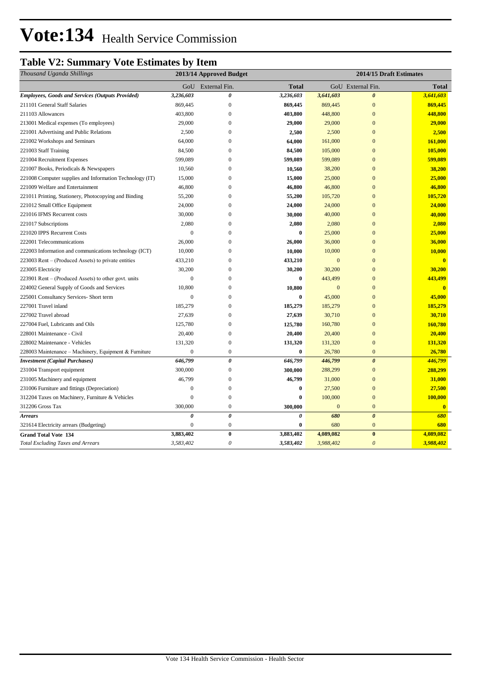# Vote:134 Health Service Commission

### **Table V2: Summary Vote Estimates by Item**

| Thousand Uganda Shillings                                | 2014/15 Draft Estimates<br>2013/14 Approved Budget |                       |              |              |                       |                |
|----------------------------------------------------------|----------------------------------------------------|-----------------------|--------------|--------------|-----------------------|----------------|
|                                                          | GoU                                                | External Fin.         | <b>Total</b> |              | GoU External Fin.     | Total          |
| <b>Employees, Goods and Services (Outputs Provided)</b>  | 3,236,603                                          | $\theta$              | 3,236,603    | 3,641,603    | $\theta$              | 3,641,603      |
| 211101 General Staff Salaries                            | 869,445                                            | $\mathbf{0}$          | 869,445      | 869,445      | $\mathbf{0}$          | 869,445        |
| 211103 Allowances                                        | 403,800                                            | $\boldsymbol{0}$      | 403,800      | 448,800      | $\mathbf{0}$          | 448,800        |
| 213001 Medical expenses (To employees)                   | 29,000                                             | $\overline{0}$        | 29,000       | 29,000       | $\overline{0}$        | 29,000         |
| 221001 Advertising and Public Relations                  | 2,500                                              | $\boldsymbol{0}$      | 2,500        | 2,500        | $\overline{0}$        | 2,500          |
| 221002 Workshops and Seminars                            | 64,000                                             | $\mathbf{0}$          | 64,000       | 161,000      | $\overline{0}$        | 161,000        |
| 221003 Staff Training                                    | 84,500                                             | $\boldsymbol{0}$      | 84,500       | 105,000      | $\mathbf{0}$          | 105,000        |
| 221004 Recruitment Expenses                              | 599,089                                            | $\mathbf{0}$          | 599,089      | 599,089      | $\overline{0}$        | 599,089        |
| 221007 Books, Periodicals & Newspapers                   | 10,560                                             | $\boldsymbol{0}$      | 10,560       | 38,200       | $\overline{0}$        | 38,200         |
| 221008 Computer supplies and Information Technology (IT) | 15,000                                             | $\overline{0}$        | 15,000       | 25,000       | $\overline{0}$        | 25,000         |
| 221009 Welfare and Entertainment                         | 46,800                                             | $\mathbf{0}$          | 46,800       | 46,800       | $\overline{0}$        | 46,800         |
| 221011 Printing, Stationery, Photocopying and Binding    | 55,200                                             | $\mathbf{0}$          | 55,200       | 105,720      | $\overline{0}$        | 105,720        |
| 221012 Small Office Equipment                            | 24,000                                             | $\boldsymbol{0}$      | 24,000       | 24,000       | $\mathbf{0}$          | 24,000         |
| 221016 IFMS Recurrent costs                              | 30,000                                             | $\overline{0}$        | 30,000       | 40,000       | $\overline{0}$        | 40,000         |
| 221017 Subscriptions                                     | 2,080                                              | $\boldsymbol{0}$      | 2,080        | 2,080        | $\overline{0}$        | 2,080          |
| 221020 IPPS Recurrent Costs                              | $\theta$                                           | $\Omega$              | $\bf{0}$     | 25,000       | $\overline{0}$        | 25,000         |
| 222001 Telecommunications                                | 26,000                                             | $\boldsymbol{0}$      | 26,000       | 36,000       | $\boldsymbol{0}$      | 36,000         |
| 222003 Information and communications technology (ICT)   | 10,000                                             | $\mathbf{0}$          | 10,000       | 10,000       | $\overline{0}$        | 10,000         |
| 223003 Rent – (Produced Assets) to private entities      | 433,210                                            | $\boldsymbol{0}$      | 433,210      | $\mathbf{0}$ | $\overline{0}$        | $\overline{0}$ |
| 223005 Electricity                                       | 30,200                                             | $\overline{0}$        | 30,200       | 30,200       | $\overline{0}$        | 30,200         |
| 223901 Rent – (Produced Assets) to other govt. units     | $\mathbf{0}$                                       | $\mathbf{0}$          | $\bf{0}$     | 443,499      | $\overline{0}$        | 443,499        |
| 224002 General Supply of Goods and Services              | 10,800                                             | $\mathbf{0}$          | 10,800       | $\mathbf{0}$ | $\mathbf{0}$          | $\mathbf{0}$   |
| 225001 Consultancy Services- Short term                  | $\mathbf{0}$                                       | $\boldsymbol{0}$      | $\bf{0}$     | 45,000       | $\overline{0}$        | 45,000         |
| 227001 Travel inland                                     | 185,279                                            | $\mathbf{0}$          | 185,279      | 185,279      | $\overline{0}$        | 185,279        |
| 227002 Travel abroad                                     | 27,639                                             | $\boldsymbol{0}$      | 27,639       | 30,710       | $\overline{0}$        | 30,710         |
| 227004 Fuel, Lubricants and Oils                         | 125,780                                            | $\mathbf{0}$          | 125,780      | 160,780      | $\overline{0}$        | 160,780        |
| 228001 Maintenance - Civil                               | 20,400                                             | $\boldsymbol{0}$      | 20,400       | 20,400       | $\boldsymbol{0}$      | 20,400         |
| 228002 Maintenance - Vehicles                            | 131,320                                            | $\mathbf{0}$          | 131,320      | 131,320      | $\overline{0}$        | 131,320        |
| 228003 Maintenance - Machinery, Equipment & Furniture    | $\overline{0}$                                     | $\boldsymbol{0}$      | $\bf{0}$     | 26,780       | $\overline{0}$        | 26,780         |
| <b>Investment</b> (Capital Purchases)                    | 646,799                                            | $\boldsymbol{\theta}$ | 646,799      | 446,799      | $\theta$              | 446,799        |
| 231004 Transport equipment                               | 300,000                                            | $\boldsymbol{0}$      | 300,000      | 288,299      | $\overline{0}$        | 288,299        |
| 231005 Machinery and equipment                           | 46,799                                             | $\mathbf{0}$          | 46,799       | 31,000       | $\overline{0}$        | 31,000         |
| 231006 Furniture and fittings (Depreciation)             | $\mathbf{0}$                                       | $\boldsymbol{0}$      | $\bf{0}$     | 27,500       | $\mathbf{0}$          | 27,500         |
| 312204 Taxes on Machinery, Furniture & Vehicles          | $\theta$                                           | $\mathbf{0}$          | $\bf{0}$     | 100,000      | $\overline{0}$        | 100,000        |
| 312206 Gross Tax                                         | 300,000                                            | $\boldsymbol{0}$      | 300,000      | $\mathbf{0}$ | $\overline{0}$        | $\bf{0}$       |
| <b>Arrears</b>                                           | $\theta$                                           | $\boldsymbol{\theta}$ | $\theta$     | 680          | $\theta$              | 680            |
| 321614 Electricity arrears (Budgeting)                   | $\mathbf{0}$                                       | $\mathbf{0}$          | $\bf{0}$     | 680          | $\boldsymbol{0}$      | 680            |
| <b>Grand Total Vote 134</b>                              | 3,883,402                                          | $\pmb{0}$             | 3,883,402    | 4,089,082    | $\bf{0}$              | 4,089,082      |
| <b>Total Excluding Taxes and Arrears</b>                 | 3,583,402                                          | $\theta$              | 3,583,402    | 3,988,402    | $\boldsymbol{\theta}$ | 3,988,402      |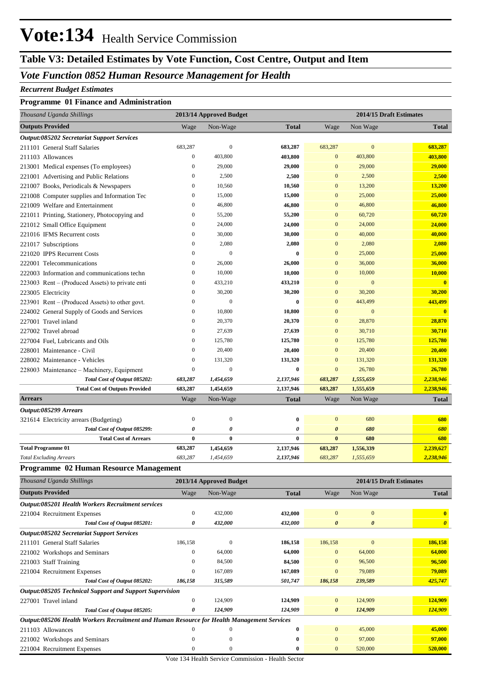# **Vote:134** Health Service Commission

## **Table V3: Detailed Estimates by Vote Function, Cost Centre, Output and Item**

#### *Vote Function 0852 Human Resource Management for Health*

#### *Recurrent Budget Estimates*

#### **Programme 01 Finance and Administration**

| Thousand Uganda Shillings                                                                  |                  | 2013/14 Approved Budget |              |                       | 2014/15 Draft Estimates |                         |
|--------------------------------------------------------------------------------------------|------------------|-------------------------|--------------|-----------------------|-------------------------|-------------------------|
| <b>Outputs Provided</b>                                                                    | Wage             | Non-Wage                | <b>Total</b> | Wage                  | Non Wage                | Total                   |
| Output:085202 Secretariat Support Services                                                 |                  |                         |              |                       |                         |                         |
| 211101 General Staff Salaries                                                              | 683,287          | $\boldsymbol{0}$        | 683,287      | 683,287               | $\mathbf{0}$            | 683,287                 |
| 211103 Allowances                                                                          | $\boldsymbol{0}$ | 403,800                 | 403,800      | $\mathbf{0}$          | 403,800                 | 403,800                 |
| 213001 Medical expenses (To employees)                                                     | $\boldsymbol{0}$ | 29,000                  | 29,000       | $\mathbf{0}$          | 29,000                  | 29,000                  |
| 221001 Advertising and Public Relations                                                    | $\boldsymbol{0}$ | 2,500                   | 2,500        | $\mathbf{0}$          | 2,500                   | 2,500                   |
| 221007 Books, Periodicals & Newspapers                                                     | $\boldsymbol{0}$ | 10,560                  | 10,560       | $\mathbf{0}$          | 13,200                  | 13,200                  |
| 221008 Computer supplies and Information Tec                                               | $\boldsymbol{0}$ | 15,000                  | 15,000       | $\mathbf{0}$          | 25,000                  | 25,000                  |
| 221009 Welfare and Entertainment                                                           | $\boldsymbol{0}$ | 46,800                  | 46,800       | $\mathbf{0}$          | 46,800                  | 46,800                  |
| 221011 Printing, Stationery, Photocopying and                                              | $\boldsymbol{0}$ | 55,200                  | 55,200       | $\mathbf{0}$          | 60,720                  | 60,720                  |
| 221012 Small Office Equipment                                                              | $\boldsymbol{0}$ | 24,000                  | 24,000       | $\mathbf{0}$          | 24,000                  | 24,000                  |
| 221016 IFMS Recurrent costs                                                                | $\boldsymbol{0}$ | 30,000                  | 30,000       | $\mathbf{0}$          | 40,000                  | 40,000                  |
| 221017 Subscriptions                                                                       | $\boldsymbol{0}$ | 2,080                   | 2,080        | $\mathbf{0}$          | 2,080                   | 2,080                   |
| 221020 IPPS Recurrent Costs                                                                | $\boldsymbol{0}$ | $\mathbf{0}$            | $\bf{0}$     | $\mathbf{0}$          | 25,000                  | 25,000                  |
| 222001 Telecommunications                                                                  | $\boldsymbol{0}$ | 26,000                  | 26,000       | $\mathbf{0}$          | 36,000                  | 36,000                  |
| 222003 Information and communications techn                                                | $\boldsymbol{0}$ | 10,000                  | 10,000       | $\mathbf{0}$          | 10,000                  | 10,000                  |
| 223003 Rent – (Produced Assets) to private enti                                            | $\boldsymbol{0}$ | 433,210                 | 433,210      | $\mathbf{0}$          | $\mathbf{0}$            | $\overline{\mathbf{0}}$ |
| 223005 Electricity                                                                         | $\boldsymbol{0}$ | 30,200                  | 30,200       | $\mathbf{0}$          | 30,200                  | 30,200                  |
| 223901 Rent – (Produced Assets) to other govt.                                             | $\boldsymbol{0}$ | $\mathbf{0}$            | $\bf{0}$     | $\mathbf{0}$          | 443,499                 | 443,499                 |
| 224002 General Supply of Goods and Services                                                | $\boldsymbol{0}$ | 10,800                  | 10,800       | $\mathbf{0}$          | $\mathbf{0}$            | $\overline{\mathbf{0}}$ |
| 227001 Travel inland                                                                       | $\boldsymbol{0}$ | 20,370                  | 20,370       | $\mathbf{0}$          | 28,870                  | 28,870                  |
| 227002 Travel abroad                                                                       | $\boldsymbol{0}$ | 27,639                  | 27,639       | $\mathbf{0}$          | 30,710                  | 30,710                  |
| 227004 Fuel, Lubricants and Oils                                                           | $\boldsymbol{0}$ | 125,780                 | 125,780      | $\mathbf{0}$          | 125,780                 | 125,780                 |
| 228001 Maintenance - Civil                                                                 | $\boldsymbol{0}$ | 20,400                  | 20,400       | $\mathbf{0}$          | 20,400                  | 20,400                  |
| 228002 Maintenance - Vehicles                                                              | $\boldsymbol{0}$ | 131,320                 | 131,320      | $\mathbf{0}$          | 131,320                 | 131,320                 |
| 228003 Maintenance - Machinery, Equipment                                                  | $\boldsymbol{0}$ | $\mathbf{0}$            | $\bf{0}$     | $\mathbf{0}$          | 26,780                  | 26,780                  |
| Total Cost of Output 085202:                                                               | 683,287          | 1,454,659               | 2,137,946    | 683,287               | 1,555,659               | 2,238,946               |
| <b>Total Cost of Outputs Provided</b>                                                      | 683,287          | 1,454,659               | 2,137,946    | 683,287               | 1,555,659               | 2,238,946               |
| <b>Arrears</b>                                                                             | Wage             | Non-Wage                | <b>Total</b> | Wage                  | Non Wage                | <b>Total</b>            |
| Output:085299 Arrears                                                                      |                  |                         |              |                       |                         |                         |
| 321614 Electricity arrears (Budgeting)                                                     | $\boldsymbol{0}$ | $\boldsymbol{0}$        | $\bf{0}$     | $\mathbf{0}$          | 680                     | 680                     |
| Total Cost of Output 085299:                                                               | 0                | 0                       | 0            | $\boldsymbol{\theta}$ | 680                     | 680                     |
| <b>Total Cost of Arrears</b>                                                               | $\bf{0}$         | $\bf{0}$                | $\bf{0}$     | $\bf{0}$              | 680                     | 680                     |
| <b>Total Programme 01</b>                                                                  | 683,287          | 1,454,659               | 2,137,946    | 683,287               | 1,556,339               | 2,239,627               |
| <b>Total Excluding Arrears</b>                                                             | 683,287          | 1,454,659               | 2,137,946    | 683,287               | 1,555,659               | 2,238,946               |
| Programme 02 Human Resource Management                                                     |                  |                         |              |                       |                         |                         |
|                                                                                            |                  |                         |              |                       |                         |                         |
| Thousand Uganda Shillings                                                                  |                  | 2013/14 Approved Budget |              |                       | 2014/15 Draft Estimates |                         |
| <b>Outputs Provided</b>                                                                    | Wage             | Non-Wage                | <b>Total</b> | Wage                  | Non Wage                | <b>Total</b>            |
| Output:085201 Health Workers Recruitment services                                          |                  |                         |              |                       |                         |                         |
| 221004 Recruitment Expenses                                                                | $\boldsymbol{0}$ | 432,000                 | 432,000      | $\mathbf{0}$          | $\boldsymbol{0}$        | $\mathbf{0}$            |
| Total Cost of Output 085201:                                                               | 0                | 432,000                 | 432,000      | $\boldsymbol{\theta}$ | $\pmb{\theta}$          | $\boldsymbol{\theta}$   |
| <b>Output:085202 Secretariat Support Services</b>                                          |                  |                         |              |                       |                         |                         |
| 211101 General Staff Salaries                                                              | 186,158          | $\boldsymbol{0}$        | 186,158      | 186,158               | $\boldsymbol{0}$        | 186,158                 |
| 221002 Workshops and Seminars                                                              | $\boldsymbol{0}$ | 64,000                  | 64,000       | $\boldsymbol{0}$      | 64,000                  | 64,000                  |
| 221003 Staff Training                                                                      | $\boldsymbol{0}$ | 84,500                  | 84,500       | $\boldsymbol{0}$      | 96,500                  | 96,500                  |
| 221004 Recruitment Expenses                                                                | $\boldsymbol{0}$ | 167,089                 | 167,089      | $\boldsymbol{0}$      | 79,089                  | 79,089                  |
| Total Cost of Output 085202:                                                               | 186,158          | 315,589                 | 501,747      | 186,158               | 239,589                 | 425,747                 |
| Output:085205 Technical Support and Support Supervision                                    |                  |                         |              |                       |                         |                         |
| 227001 Travel inland                                                                       | $\boldsymbol{0}$ | 124,909                 | 124,909      | $\mathbf{0}$          | 124,909                 | 124,909                 |
| Total Cost of Output 085205:                                                               | 0                | 124,909                 | 124,909      | $\boldsymbol{\theta}$ | 124,909                 | 124,909                 |
| Output:085206 Health Workers Recruitment and Human Resource for Health Management Services |                  |                         |              |                       |                         |                         |
|                                                                                            |                  |                         |              |                       |                         |                         |
| 211103 Allowances                                                                          | $\boldsymbol{0}$ | $\boldsymbol{0}$        | $\bf{0}$     | $\boldsymbol{0}$      | 45,000                  | 45,000                  |
|                                                                                            | $\boldsymbol{0}$ | $\boldsymbol{0}$        | $\bf{0}$     | $\boldsymbol{0}$      | 97,000                  | 97,000                  |
| 221002 Workshops and Seminars<br>221004 Recruitment Expenses                               | $\boldsymbol{0}$ | $\boldsymbol{0}$        | $\bf{0}$     | $\boldsymbol{0}$      | 520,000                 | 520,000                 |